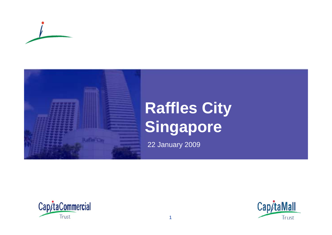



## **Raffles City Singapore**

22 January 2009



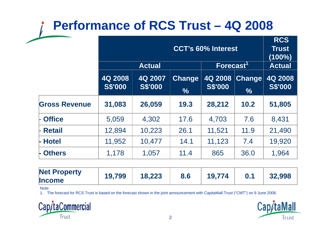### **Performance of RCS Trust – 4Q 2008**

|                      | <b>CCT's 60% Interest</b> |                           |                                |                           | <b>RCS</b><br><b>Trust</b><br>$(100\%)$ |                           |
|----------------------|---------------------------|---------------------------|--------------------------------|---------------------------|-----------------------------------------|---------------------------|
|                      |                           | <b>Actual</b>             |                                | Forecast <sup>1</sup>     |                                         | <b>Actual</b>             |
|                      | 4Q 2008<br><b>S\$'000</b> | 4Q 2007<br><b>S\$'000</b> | <b>Change</b><br>$\frac{0}{0}$ | 4Q 2008<br><b>S\$'000</b> | <b>Change</b><br>$\frac{0}{0}$          | 4Q 2008<br><b>S\$'000</b> |
| <b>Gross Revenue</b> | 31,083                    | 26,059                    | 19.3                           | 28,212                    | 10.2                                    | 51,805                    |
| <b>Office</b>        | 5,059                     | 4,302                     | 17.6                           | 4,703                     | 7.6                                     | 8,431                     |
| <b>Retail</b>        | 12,894                    | 10,223                    | 26.1                           | 11,521                    | 11.9                                    | 21,490                    |
| <b>Hotel</b>         | 11,952                    | 10,477                    | 14.1                           | 11,123                    | 7.4                                     | 19,920                    |
| <b>Others</b>        | 1,178                     | 1,057                     | 11.4                           | 865                       | 36.0                                    | 1,964                     |

| <b>Net Property</b><br><b>Income</b> | 19,799 | 18,223 | 8.6 | 19.774 |  | 32,998 |
|--------------------------------------|--------|--------|-----|--------|--|--------|
|--------------------------------------|--------|--------|-----|--------|--|--------|

Note:

1. The forecast for RCS Trust is based on the forecast shown in the joint announcement with CapitaMall Trust ("CMT") on 9 June 2008.



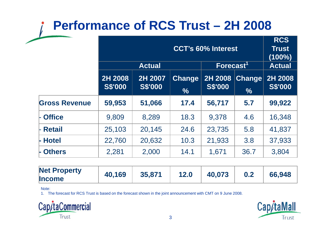### **Performance of RCS Trust – 2H 2008**

|                      | <b>CCT's 60% Interest</b> |                           |                                |                           | <b>RCS</b><br><b>Trust</b><br>$(100\%)$ |                           |
|----------------------|---------------------------|---------------------------|--------------------------------|---------------------------|-----------------------------------------|---------------------------|
|                      |                           | <b>Actual</b>             |                                | Forecast <sup>1</sup>     |                                         | <b>Actual</b>             |
|                      | 2H 2008<br><b>S\$'000</b> | 2H 2007<br><b>S\$'000</b> | <b>Change</b><br>$\frac{9}{6}$ | 2H 2008<br><b>S\$'000</b> | <b>Change</b><br>$\frac{0}{6}$          | 2H 2008<br><b>S\$'000</b> |
| <b>Gross Revenue</b> | 59,953                    | 51,066                    | 17.4                           | 56,717                    | 5.7                                     | 99,922                    |
| <b>Office</b>        | 9,809                     | 8,289                     | 18.3                           | 9,378                     | 4.6                                     | 16,348                    |
| <b>Retail</b>        | 25,103                    | 20,145                    | 24.6                           | 23,735                    | 5.8                                     | 41,837                    |
| <b>Hotel</b>         | 22,760                    | 20,632                    | 10.3                           | 21,933                    | 3.8                                     | 37,933                    |
| <b>Others</b>        | 2,281                     | 2,000                     | 14.1                           | 1,671                     | 36.7                                    | 3,804                     |

| <b>Net Property</b> | 40,169 | 35,871 | 12.0 | 40,073 | 66.948 |
|---------------------|--------|--------|------|--------|--------|
| <b>Income</b>       |        |        |      |        |        |

Note:

1. The forecast for RCS Trust is based on the forecast shown in the joint announcement with CMT on 9 June 2008.



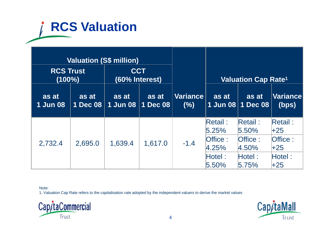# **RCS Valuation**

| <b>Valuation (S\$ million)</b> |                   |                              |                   |                         |                                                                   |                                                                |                                                                |
|--------------------------------|-------------------|------------------------------|-------------------|-------------------------|-------------------------------------------------------------------|----------------------------------------------------------------|----------------------------------------------------------------|
| <b>RCS Trust</b><br>$(100\%)$  |                   | <b>CCT</b><br>(60% Interest) |                   |                         |                                                                   | <b>Valuation Cap Rate<sup>1</sup></b>                          |                                                                |
| as at<br><b>1 Jun 08</b>       | as at<br>1 Dec 08 | as at<br><b>1 Jun 08</b>     | as at<br>1 Dec 08 | <b>Variance</b><br>(% ) | as at                                                             | as at<br>1 Jun 08   1 Dec 08                                   | Variance<br>(bps)                                              |
| 2,732.4                        | 2,695.0           | 1,639.4                      | 1,617.0           | $-1.4$                  | Retail:<br>5.25%<br><b>Office:</b><br>4.25%<br>$H$ otel:<br>5.50% | <b>Retail:</b><br>5.50%<br>Office:<br>4.50%<br>HoteI:<br>5.75% | <b>Retail:</b><br>$+25$<br>Office:<br>$+25$<br>Hotel:<br>$+25$ |

Note:

1. Valuation Cap Rate refers to the capitalisation rate adopted by the independent valuers to derive the market values



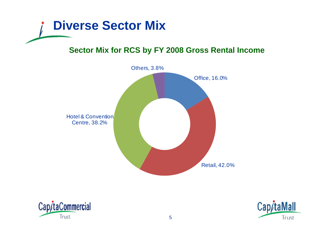

#### **Sector Mix for RCS by FY 2008 Gross Rental Income**





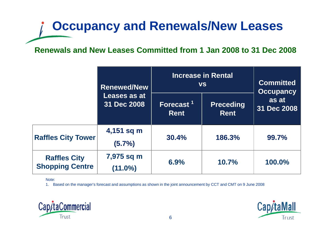## **Occupancy and Renewals/New Leases**

#### **Renewals and New Leases Committed from 1 Jan 2008 to 31 Dec 2008**

|                                               | <b>Renewed/New</b>          | <b>Increase in Rental</b><br><b>VS</b> | <b>Committed</b><br><b>Occupancy</b> |                      |
|-----------------------------------------------|-----------------------------|----------------------------------------|--------------------------------------|----------------------|
|                                               | Leases as at<br>31 Dec 2008 | Forecast <sup>1</sup><br><b>Rent</b>   | <b>Preceding</b><br><b>Rent</b>      | as at<br>31 Dec 2008 |
| <b>Raffles City Tower</b>                     | 4,151 sq m<br>$(5.7\%)$     | <b>30.4%</b>                           | 186.3%                               | 99.7%                |
| <b>Raffles City</b><br><b>Shopping Centre</b> | 7,975 sq m<br>$(11.0\%)$    | 6.9%                                   | 10.7%                                | 100.0%               |

Note:

1. Based on the manager's forecast and assumptions as shown in the joint announcement by CCT and CMT on 9 June 2008



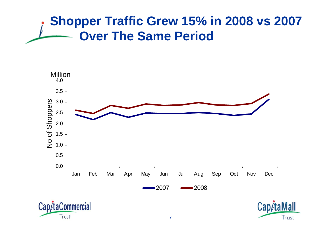### **Shopper Traffic Grew 15% in 2008 vs 2007 Over The Same Period**





Trust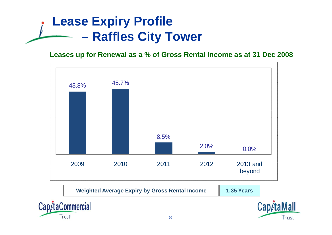### **Lease Expiry Profile Raffles City Tower**

#### **Leases up for Renewal as a % of Gross Rental Income as at 31 Dec 2008**



| <b>Weighted Average Expiry by Gross Rental Income</b> | <b>1.35 Years</b> |
|-------------------------------------------------------|-------------------|
|                                                       |                   |



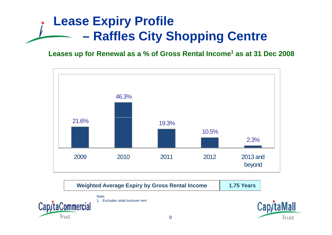## **Lease Expiry Profile Raffles City Shopping Centre**

**Leases up for Renewal as a % of Gross Rental Income<sup>1</sup> as at 31 Dec <sup>2008</sup>**



**Weighted Average Expiry by Gross Rental Income 1.75 Years**

Note:1. Excludes retail turnover rent



Cap/taMall Trust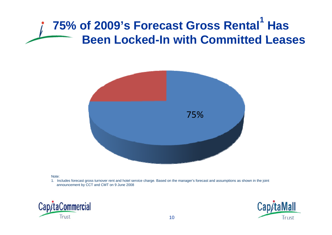#### **75% of 2009's Forecast Gross Rental 1 Has Been Locked-In ith Committed Leases In with**



#### Note:

1. Includes forecast gross turnover rent and hotel service charge. Based on the manager's forecast and assumptions as shown in the joint announcement by CCT and CMT on 9 June 2008



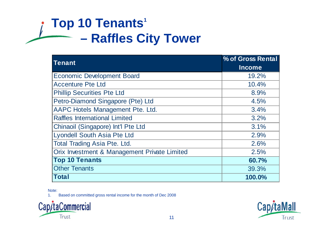### **Top 10 Tenants<sup>1</sup> Raffles City Tower**

| <b>Tenant</b>                                | % of Gross Rental |
|----------------------------------------------|-------------------|
|                                              | <b>Income</b>     |
| <b>Economic Development Board</b>            | 19.2%             |
| <b>Accenture Pte Ltd</b>                     | 10.4%             |
| <b>Phillip Securities Pte Ltd</b>            | 8.9%              |
| Petro-Diamond Singapore (Pte) Ltd            | 4.5%              |
| AAPC Hotels Management Pte. Ltd.             | 3.4%              |
| <b>Raffles International Limited</b>         | 3.2%              |
| Chinaoil (Singapore) Int'l Pte Ltd           | 3.1%              |
| <b>Lyondell South Asia Pte Ltd</b>           | 2.9%              |
| <b>Total Trading Asia Pte. Ltd.</b>          | 2.6%              |
| Orix Investment & Management Private Limited | 2.5%              |
| <b>Top 10 Tenants</b>                        | 60.7%             |
| <b>Other Tenants</b>                         | 39.3%             |
| <b>Total</b>                                 | 100.0%            |

Note:

1. Based on committed gross rental income for the month of Dec 2008



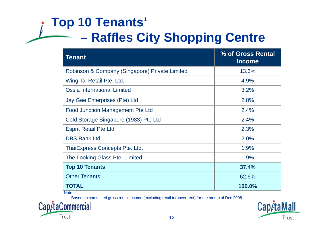### **Top 10 Tenants<sup>1</sup> Raffles City Shopping Centre**

| <b>Tenant</b>                                  | % of Gross Rental<br><b>Income</b> |
|------------------------------------------------|------------------------------------|
| Robinson & Company (Singapore) Private Limited | 13.6%                              |
| Wing Tai Retail Pte. Ltd.                      | 4.9%                               |
| <b>Ossia International Limited</b>             | 3.2%                               |
| Jay Gee Enterprises (Pte) Ltd                  | 2.8%                               |
| <b>Food Junction Management Pte Ltd</b>        | 2.4%                               |
| Cold Storage Singapore (1983) Pte Ltd          | 2.4%                               |
| <b>Esprit Retail Pte Ltd</b>                   | 2.3%                               |
| <b>DBS Bank Ltd.</b>                           | 2.0%                               |
| ThaiExpress Concepts Pte. Ltd.                 | 1.9%                               |
| The Looking Glass Pte. Limited                 | 1.9%                               |
| <b>Top 10 Tenants</b>                          | 37.4%                              |
| <b>Other Tenants</b>                           | 62.6%                              |
| <b>TOTAL</b>                                   | 100.0%                             |

Note:

1. Based on committed gross rental income (excluding retail turnover rent) for the month of Dec 2008



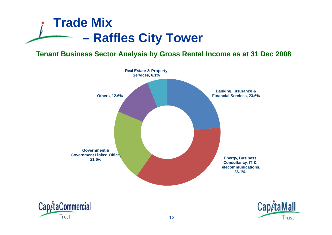

#### **Tenant Business Sector Analysis by Gross Rental Income as at 31 Dec 2008**





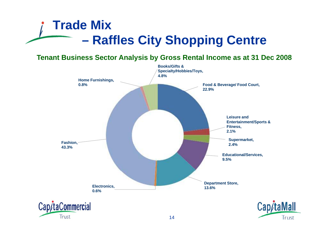### **Trade Mix –R ffl Cit Raffles City Sh i C t Shopping Centre**

**Tenant Business Sector Analysis by Gross Rental Income as at 31 Dec 2008**